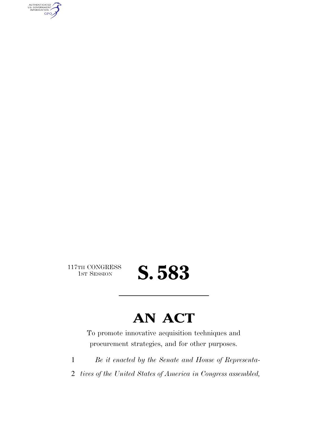AUTHENTICATED<br>U.S. GOVERNMENT<br>INFORMATION GPO

117TH CONGRESS<br>1st Session

## S. 583

### **AN ACT**

To promote innovative acquisition techniques and procurement strategies, and for other purposes.

1 *Be it enacted by the Senate and House of Representa-*

2 *tives of the United States of America in Congress assembled,*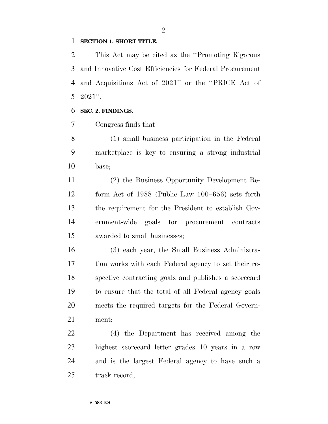#### **SECTION 1. SHORT TITLE.**

 This Act may be cited as the ''Promoting Rigorous and Innovative Cost Efficiencies for Federal Procurement and Acquisitions Act of 2021'' or the ''PRICE Act of 2021''.

#### **SEC. 2. FINDINGS.**

Congress finds that—

 (1) small business participation in the Federal marketplace is key to ensuring a strong industrial base;

 (2) the Business Opportunity Development Re- form Act of 1988 (Public Law 100–656) sets forth the requirement for the President to establish Gov- ernment-wide goals for procurement contracts awarded to small businesses;

 (3) each year, the Small Business Administra- tion works with each Federal agency to set their re- spective contracting goals and publishes a scorecard to ensure that the total of all Federal agency goals meets the required targets for the Federal Govern-ment;

 (4) the Department has received among the highest scorecard letter grades 10 years in a row and is the largest Federal agency to have such a track record;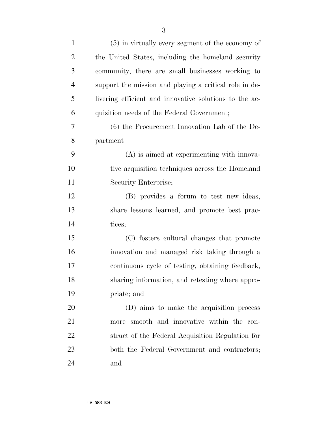| $\mathbf{1}$   | $(5)$ in virtually every segment of the economy of     |
|----------------|--------------------------------------------------------|
| $\overline{2}$ | the United States, including the homeland security     |
| 3              | community, there are small businesses working to       |
| $\overline{4}$ | support the mission and playing a critical role in de- |
| 5              | livering efficient and innovative solutions to the ac- |
| 6              | quisition needs of the Federal Government;             |
| 7              | $(6)$ the Procurement Innovation Lab of the De-        |
| 8              | partment—                                              |
| 9              | $(A)$ is aimed at experimenting with innova-           |
| 10             | tive acquisition techniques across the Homeland        |
| 11             | Security Enterprise;                                   |
| 12             | (B) provides a forum to test new ideas,                |
| 13             | share lessons learned, and promote best prac-          |
| 14             | tices;                                                 |
| 15             | (C) fosters cultural changes that promote              |
| 16             | innovation and managed risk taking through a           |
| 17             | continuous cycle of testing, obtaining feedback,       |
| 18             | sharing information, and retesting where appro-        |
| 19             | priate; and                                            |
| 20             | (D) aims to make the acquisition process               |
| 21             | more smooth and innovative within the con-             |
| 22             | struct of the Federal Acquisition Regulation for       |
| 23             | both the Federal Government and contractors;           |
| 24             | and                                                    |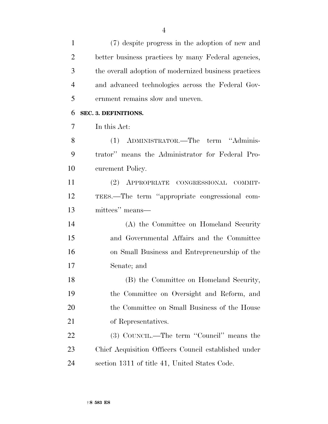(7) despite progress in the adoption of new and better business practices by many Federal agencies, the overall adoption of modernized business practices and advanced technologies across the Federal Gov-ernment remains slow and uneven.

#### **SEC. 3. DEFINITIONS.**

In this Act:

 (1) ADMINISTRATOR.—The term ''Adminis- trator'' means the Administrator for Federal Pro-curement Policy.

 (2) APPROPRIATE CONGRESSIONAL COMMIT- TEES.—The term ''appropriate congressional com-mittees'' means—

 (A) the Committee on Homeland Security and Governmental Affairs and the Committee on Small Business and Entrepreneurship of the Senate; and

 (B) the Committee on Homeland Security, the Committee on Oversight and Reform, and 20 the Committee on Small Business of the House of Representatives.

22 (3) COUNCIL.—The term "Council" means the Chief Acquisition Officers Council established under section 1311 of title 41, United States Code.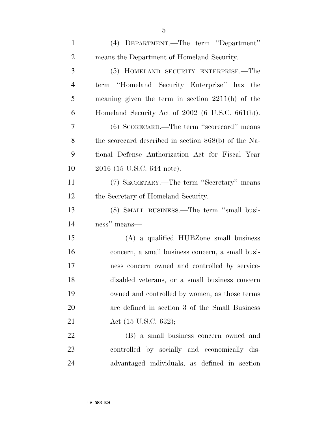| $\mathbf{1}$   | (4) DEPARTMENT.—The term "Department"                |
|----------------|------------------------------------------------------|
| $\overline{2}$ | means the Department of Homeland Security.           |
| 3              | (5) HOMELAND SECURITY ENTERPRISE.—The                |
| $\overline{4}$ | term "Homeland Security Enterprise" has the          |
| 5              | meaning given the term in section $2211(h)$ of the   |
| 6              | Homeland Security Act of $2002$ (6 U.S.C. 661(h)).   |
| 7              | (6) SCORECARD.—The term "scorecard" means            |
| 8              | the scorecard described in section 868(b) of the Na- |
| 9              | tional Defense Authorization Act for Fiscal Year     |
| 10             | 2016 (15 U.S.C. 644 note).                           |
| 11             | (7) SECRETARY.—The term "Secretary" means            |
| 12             | the Secretary of Homeland Security.                  |
| 13             | (8) SMALL BUSINESS.—The term "small busi-            |
| 14             | ness" means—                                         |
| 15             | (A) a qualified HUBZ one small business              |
| 16             | concern, a small business concern, a small busi-     |
| 17             | ness concern owned and controlled by service-        |
| 18             | disabled veterans, or a small business concern       |
| 19             | owned and controlled by women, as those terms        |
| 20             | are defined in section 3 of the Small Business       |
| 21             | Act (15 U.S.C. 632);                                 |
| 22             | (B) a small business concern owned and               |
| 23             | controlled by socially and economically dis-         |
| 24             | advantaged individuals, as defined in section        |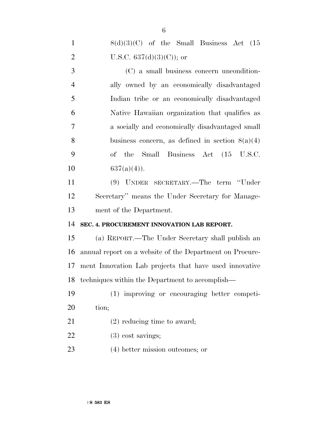| $\mathbf{1}$   | $8(d)(3)(C)$ of the Small Business Act (15               |
|----------------|----------------------------------------------------------|
| $\overline{2}$ | U.S.C. $637(d)(3)(C)$ ; or                               |
| 3              | (C) a small business concern uncondition-                |
| $\overline{4}$ | ally owned by an economically disadvantaged              |
| 5              | Indian tribe or an economically disadvantaged            |
| 6              | Native Hawaiian organization that qualifies as           |
| $\overline{7}$ | a socially and economically disadvantaged small          |
| 8              | business concern, as defined in section $8(a)(4)$        |
| 9              | of the Small Business Act (15 U.S.C.                     |
| 10             | $637(a)(4)$ .                                            |
| 11             | (9) UNDER SECRETARY.—The term "Under                     |
| 12             | Secretary" means the Under Secretary for Manage-         |
| 13             | ment of the Department.                                  |
| 14             | SEC. 4. PROCUREMENT INNOVATION LAB REPORT.               |
| 15             | (a) REPORT.—The Under Secretary shall publish an         |
| 16             | annual report on a website of the Department on Procure- |
| 17             | ment Innovation Lab projects that have used innovative   |
| 18             | techniques within the Department to accomplish—          |
| 19             | (1) improving or encouraging better competi-             |
| 20             | tion;                                                    |
| 21             | $(2)$ reducing time to award;                            |
| 22             | $(3)$ cost savings;                                      |
| 23             | (4) better mission outcomes; or                          |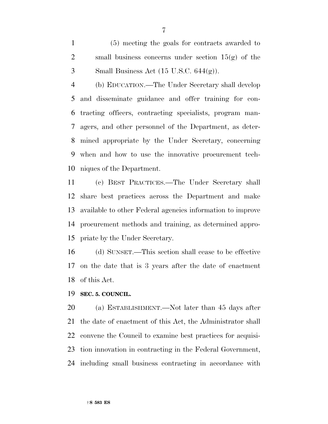(5) meeting the goals for contracts awarded to 2 small business concerns under section  $15(g)$  of the 3 Small Business Act  $(15 \text{ U.S.C. } 644(g))$ .

 (b) EDUCATION.—The Under Secretary shall develop and disseminate guidance and offer training for con- tracting officers, contracting specialists, program man- agers, and other personnel of the Department, as deter- mined appropriate by the Under Secretary, concerning when and how to use the innovative procurement tech-niques of the Department.

 (c) BEST PRACTICES.—The Under Secretary shall share best practices across the Department and make available to other Federal agencies information to improve procurement methods and training, as determined appro-priate by the Under Secretary.

 (d) SUNSET.—This section shall cease to be effective on the date that is 3 years after the date of enactment of this Act.

**SEC. 5. COUNCIL.** 

 (a) ESTABLISHMENT.—Not later than 45 days after the date of enactment of this Act, the Administrator shall convene the Council to examine best practices for acquisi- tion innovation in contracting in the Federal Government, including small business contracting in accordance with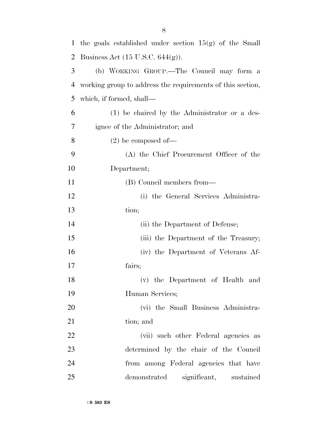| $\mathbf{1}$ | the goals established under section $15(g)$ of the Small   |
|--------------|------------------------------------------------------------|
| 2            | Business Act $(15 \text{ U.S.C. } 644(g))$ .               |
| 3            | (b) WORKING GROUP.—The Council may form a                  |
| 4            | working group to address the requirements of this section, |
| 5            | which, if formed, shall—                                   |
| 6            | (1) be chaired by the Administrator or a des-              |
| 7            | ignee of the Administrator; and                            |
| 8            | $(2)$ be composed of —                                     |
| 9            | (A) the Chief Procurement Officer of the                   |
| 10           | Department;                                                |
| 11           | (B) Council members from—                                  |
| 12           | (i) the General Services Administra-                       |
| 13           | tion;                                                      |
| 14           | (ii) the Department of Defense;                            |
| 15           | (iii) the Department of the Treasury;                      |
| 16           | (iv) the Department of Veterans Af-                        |
| 17           | fairs;                                                     |
| 18           | (v) the Department of Health and                           |
| 19           | Human Services;                                            |
| 20           | (vi) the Small Business Administra-                        |
| 21           | tion; and                                                  |
| 22           | (vii) such other Federal agencies as                       |
| 23           | determined by the chair of the Council                     |
| 24           | from among Federal agencies that have                      |
| 25           | demonstrated significant, sustained                        |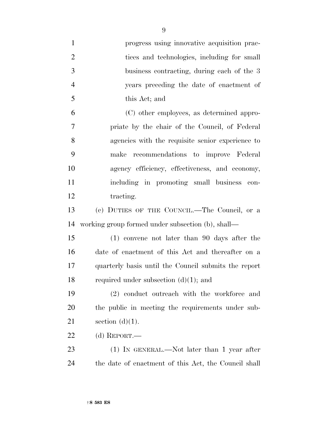| $\mathbf{1}$   | progress using innovative acquisition prac-          |
|----------------|------------------------------------------------------|
| $\overline{2}$ | tices and technologies, including for small          |
| 3              | business contracting, during each of the 3           |
| $\overline{4}$ | years preceding the date of enactment of             |
| 5              | this Act; and                                        |
| 6              | (C) other employees, as determined appro-            |
| 7              | priate by the chair of the Council, of Federal       |
| 8              | agencies with the requisite senior experience to     |
| 9              | make recommendations to improve Federal              |
| 10             | agency efficiency, effectiveness, and economy,       |
| 11             | including in promoting small business con-           |
| 12             | tracting.                                            |
| 13             | (c) DUTIES OF THE COUNCIL.—The Council, or a         |
| 14             | working group formed under subsection (b), shall—    |
| 15             | $(1)$ convene not later than 90 days after the       |
| 16             | date of enactment of this Act and thereafter on a    |
| 17             | quarterly basis until the Council submits the report |
| 18             | required under subsection $(d)(1)$ ; and             |
| 19             | (2) conduct outreach with the workforce and          |
| 20             | the public in meeting the requirements under sub-    |
| 21             | section $(d)(1)$ .                                   |
| 22             | (d) REPORT.—                                         |
| 23             | $(1)$ IN GENERAL.—Not later than 1 year after        |
| 24             | the date of enactment of this Act, the Council shall |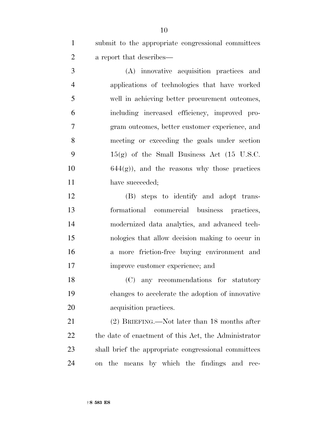submit to the appropriate congressional committees a report that describes—

 (A) innovative acquisition practices and applications of technologies that have worked well in achieving better procurement outcomes, including increased efficiency, improved pro- gram outcomes, better customer experience, and meeting or exceeding the goals under section  $15(g)$  of the Small Business Act (15 U.S.C.  $10 \t\t 644(g)$ , and the reasons why those practices 11 have succeeded;

 (B) steps to identify and adopt trans- formational commercial business practices, modernized data analytics, and advanced tech- nologies that allow decision making to occur in a more friction-free buying environment and improve customer experience; and

 (C) any recommendations for statutory changes to accelerate the adoption of innovative acquisition practices.

 (2) BRIEFING.—Not later than 18 months after the date of enactment of this Act, the Administrator shall brief the appropriate congressional committees on the means by which the findings and rec-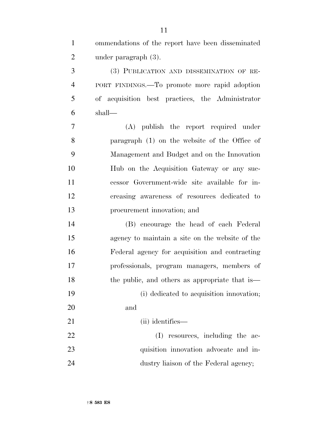ommendations of the report have been disseminated under paragraph (3). (3) PUBLICATION AND DISSEMINATION OF RE- PORT FINDINGS.—To promote more rapid adoption of acquisition best practices, the Administrator shall— (A) publish the report required under paragraph (1) on the website of the Office of Management and Budget and on the Innovation Hub on the Acquisition Gateway or any suc- cessor Government-wide site available for in- creasing awareness of resources dedicated to procurement innovation; and (B) encourage the head of each Federal agency to maintain a site on the website of the Federal agency for acquisition and contracting professionals, program managers, members of 18 the public, and others as appropriate that is (i) dedicated to acquisition innovation; and 21 (ii) identifies— 22 (I) resources, including the ac- quisition innovation advocate and in-24 dustry liaison of the Federal agency;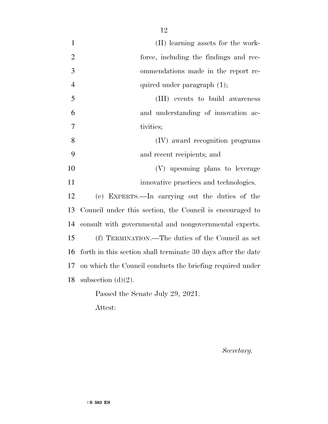| $\mathbf{1}$   | (II) learning assets for the work-                           |
|----------------|--------------------------------------------------------------|
| $\overline{2}$ | force, including the findings and rec-                       |
| 3              | ommendations made in the report re-                          |
| $\overline{4}$ | quired under paragraph $(1)$ ;                               |
| 5              | (III) events to build awareness                              |
| 6              | and understanding of innovation ac-                          |
| 7              | tivities;                                                    |
| 8              | (IV) award recognition programs                              |
| 9              | and recent recipients; and                                   |
| 10             | (V) upcoming plans to leverage                               |
| 11             | innovative practices and technologies.                       |
| 12             | (e) EXPERTS.—In carrying out the duties of the               |
| 13             | Council under this section, the Council is encouraged to     |
| 14             | consult with governmental and nongovernmental experts.       |
| 15             | (f) TERMINATION.—The duties of the Council as set            |
| 16             | forth in this section shall terminate 30 days after the date |
| 17             | on which the Council conducts the briefing required under    |
| 18             | subsection $(d)(2)$ .                                        |
|                | Passed the Senate July 29, 2021.                             |

Attest:

*Secretary.*